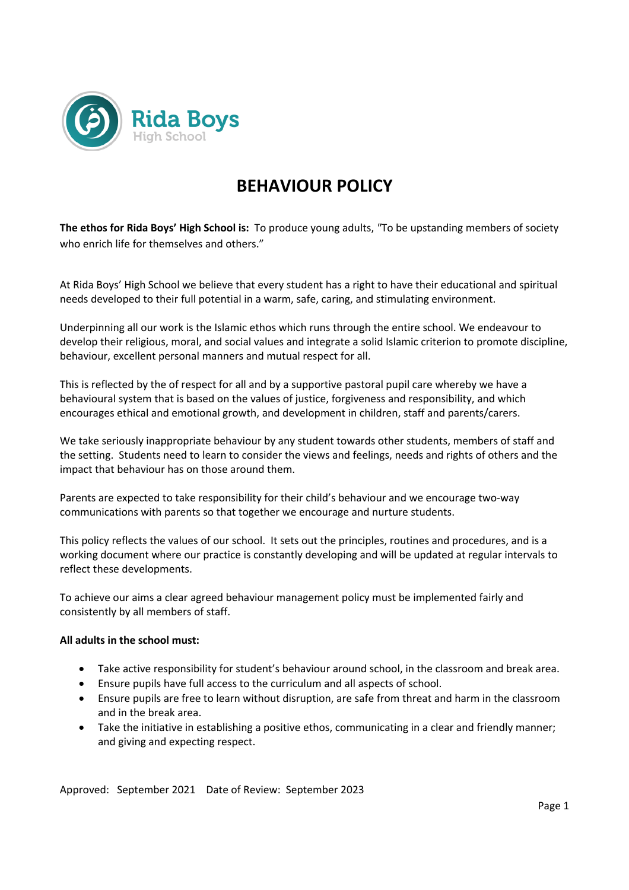

# **BEHAVIOUR POLICY**

**The ethos for Rida Boys' High School is:** To produce young adults, *"*To be upstanding members of society who enrich life for themselves and others."

At Rida Boys' High School we believe that every student has a right to have their educational and spiritual needs developed to their full potential in a warm, safe, caring, and stimulating environment.

Underpinning all our work is the Islamic ethos which runs through the entire school. We endeavour to develop their religious, moral, and social values and integrate a solid Islamic criterion to promote discipline, behaviour, excellent personal manners and mutual respect for all.

This is reflected by the of respect for all and by a supportive pastoral pupil care whereby we have a behavioural system that is based on the values of justice, forgiveness and responsibility, and which encourages ethical and emotional growth, and development in children, staff and parents/carers.

We take seriously inappropriate behaviour by any student towards other students, members of staff and the setting. Students need to learn to consider the views and feelings, needs and rights of others and the impact that behaviour has on those around them.

Parents are expected to take responsibility for their child's behaviour and we encourage two-way communications with parents so that together we encourage and nurture students.

This policy reflects the values of our school. It sets out the principles, routines and procedures, and is a working document where our practice is constantly developing and will be updated at regular intervals to reflect these developments.

To achieve our aims a clear agreed behaviour management policy must be implemented fairly and consistently by all members of staff.

# **All adults in the school must:**

- Take active responsibility for student's behaviour around school, in the classroom and break area.
- Ensure pupils have full access to the curriculum and all aspects of school.
- Ensure pupils are free to learn without disruption, are safe from threat and harm in the classroom and in the break area.
- Take the initiative in establishing a positive ethos, communicating in a clear and friendly manner; and giving and expecting respect.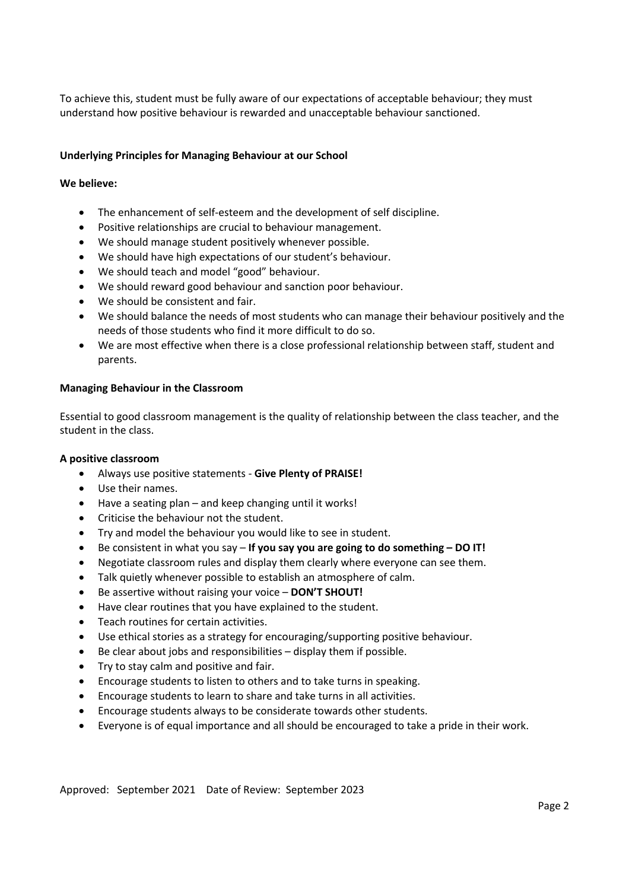To achieve this, student must be fully aware of our expectations of acceptable behaviour; they must understand how positive behaviour is rewarded and unacceptable behaviour sanctioned.

# **Underlying Principles for Managing Behaviour at our School**

# **We believe:**

- The enhancement of self-esteem and the development of self discipline.
- Positive relationships are crucial to behaviour management.
- We should manage student positively whenever possible.
- We should have high expectations of our student's behaviour.
- We should teach and model "good" behaviour.
- We should reward good behaviour and sanction poor behaviour.
- We should be consistent and fair.
- We should balance the needs of most students who can manage their behaviour positively and the needs of those students who find it more difficult to do so.
- We are most effective when there is a close professional relationship between staff, student and parents.

#### **Managing Behaviour in the Classroom**

Essential to good classroom management is the quality of relationship between the class teacher, and the student in the class.

#### **A positive classroom**

- Always use positive statements **Give Plenty of PRAISE!**
- Use their names.
- Have a seating plan and keep changing until it works!
- Criticise the behaviour not the student.
- Try and model the behaviour you would like to see in student.
- Be consistent in what you say **If you say you are going to do something – DO IT!**
- Negotiate classroom rules and display them clearly where everyone can see them.
- Talk quietly whenever possible to establish an atmosphere of calm.
- Be assertive without raising your voice **DON'T SHOUT!**
- Have clear routines that you have explained to the student.
- Teach routines for certain activities.
- Use ethical stories as a strategy for encouraging/supporting positive behaviour.
- Be clear about jobs and responsibilities display them if possible.
- Try to stay calm and positive and fair.
- Encourage students to listen to others and to take turns in speaking.
- Encourage students to learn to share and take turns in all activities.
- Encourage students always to be considerate towards other students.
- Everyone is of equal importance and all should be encouraged to take a pride in their work.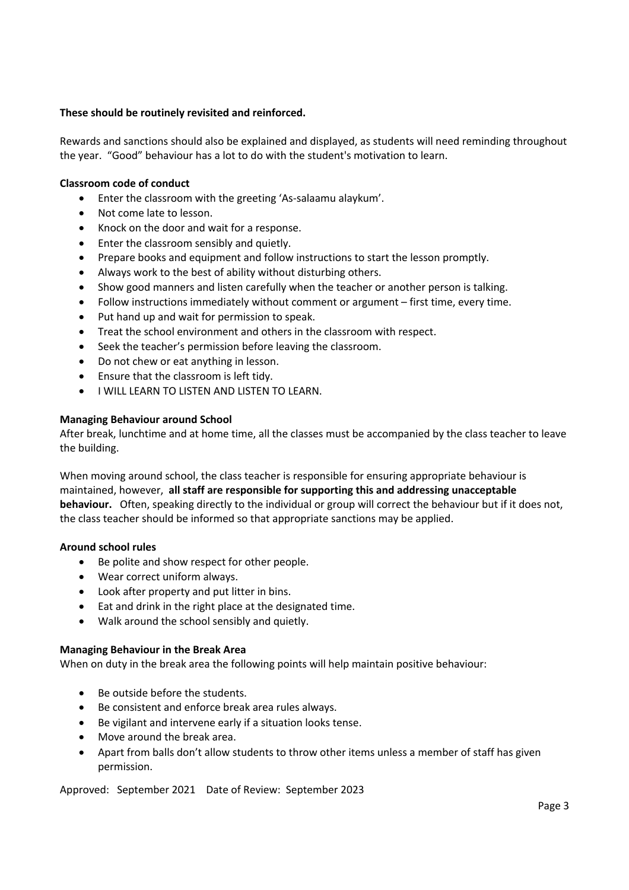# **These should be routinely revisited and reinforced.**

Rewards and sanctions should also be explained and displayed, as students will need reminding throughout the year. "Good" behaviour has a lot to do with the student's motivation to learn.

# **Classroom code of conduct**

- Enter the classroom with the greeting 'As-salaamu alaykum'.
- Not come late to lesson.
- Knock on the door and wait for a response.
- Enter the classroom sensibly and quietly.
- Prepare books and equipment and follow instructions to start the lesson promptly.
- Always work to the best of ability without disturbing others.
- Show good manners and listen carefully when the teacher or another person is talking.
- Follow instructions immediately without comment or argument first time, every time.
- Put hand up and wait for permission to speak.
- Treat the school environment and others in the classroom with respect.
- Seek the teacher's permission before leaving the classroom.
- Do not chew or eat anything in lesson.
- Ensure that the classroom is left tidy.
- I WILL LEARN TO LISTEN AND LISTEN TO LEARN.

#### **Managing Behaviour around School**

After break, lunchtime and at home time, all the classes must be accompanied by the class teacher to leave the building.

When moving around school, the class teacher is responsible for ensuring appropriate behaviour is maintained, however, **all staff are responsible for supporting this and addressing unacceptable behaviour.** Often, speaking directly to the individual or group will correct the behaviour but if it does not, the class teacher should be informed so that appropriate sanctions may be applied.

# **Around school rules**

- Be polite and show respect for other people.
- Wear correct uniform always.
- Look after property and put litter in bins.
- Eat and drink in the right place at the designated time.
- Walk around the school sensibly and quietly.

#### **Managing Behaviour in the Break Area**

When on duty in the break area the following points will help maintain positive behaviour:

- Be outside before the students.
- Be consistent and enforce break area rules always.
- Be vigilant and intervene early if a situation looks tense.
- Move around the break area.
- Apart from balls don't allow students to throw other items unless a member of staff has given permission.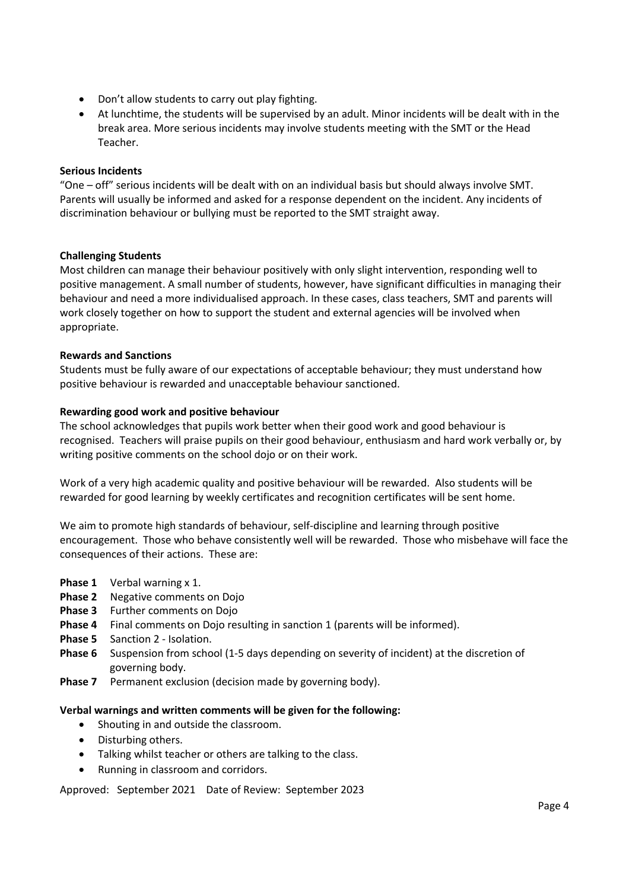- Don't allow students to carry out play fighting.
- At lunchtime, the students will be supervised by an adult. Minor incidents will be dealt with in the break area. More serious incidents may involve students meeting with the SMT or the Head Teacher.

# **Serious Incidents**

"One – off" serious incidents will be dealt with on an individual basis but should always involve SMT. Parents will usually be informed and asked for a response dependent on the incident. Any incidents of discrimination behaviour or bullying must be reported to the SMT straight away.

# **Challenging Students**

Most children can manage their behaviour positively with only slight intervention, responding well to positive management. A small number of students, however, have significant difficulties in managing their behaviour and need a more individualised approach. In these cases, class teachers, SMT and parents will work closely together on how to support the student and external agencies will be involved when appropriate.

# **Rewards and Sanctions**

Students must be fully aware of our expectations of acceptable behaviour; they must understand how positive behaviour is rewarded and unacceptable behaviour sanctioned.

# **Rewarding good work and positive behaviour**

The school acknowledges that pupils work better when their good work and good behaviour is recognised. Teachers will praise pupils on their good behaviour, enthusiasm and hard work verbally or, by writing positive comments on the school dojo or on their work.

Work of a very high academic quality and positive behaviour will be rewarded. Also students will be rewarded for good learning by weekly certificates and recognition certificates will be sent home.

We aim to promote high standards of behaviour, self-discipline and learning through positive encouragement. Those who behave consistently well will be rewarded. Those who misbehave will face the consequences of their actions. These are:

- **Phase 1** Verbal warning x 1.
- **Phase 2** Negative comments on Dojo
- **Phase 3** Further comments on Dojo
- **Phase 4** Final comments on Dojo resulting in sanction 1 (parents will be informed).
- **Phase 5** Sanction 2 Isolation.
- **Phase 6** Suspension from school (1-5 days depending on severity of incident) at the discretion of governing body.
- **Phase 7** Permanent exclusion (decision made by governing body).

# **Verbal warnings and written comments will be given for the following:**

- Shouting in and outside the classroom.
- Disturbing others.
- Talking whilst teacher or others are talking to the class.
- Running in classroom and corridors.